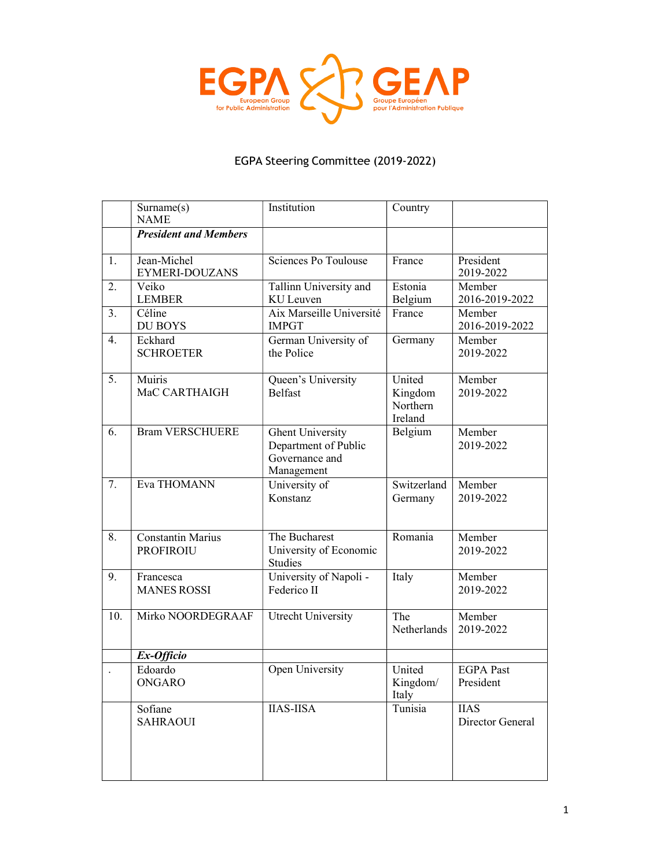

## EGPA Steering Committee (2019-2022)

|                  | Surname(s)<br><b>NAME</b>                    | Institution                                                                     | Country                                  |                                 |
|------------------|----------------------------------------------|---------------------------------------------------------------------------------|------------------------------------------|---------------------------------|
|                  | <b>President and Members</b>                 |                                                                                 |                                          |                                 |
| 1.               | Jean-Michel<br>EYMERI-DOUZANS                | Sciences Po Toulouse                                                            | France                                   | President<br>2019-2022          |
| 2.               | Veiko<br><b>LEMBER</b>                       | Tallinn University and<br>KU Leuven                                             | Estonia<br>Belgium                       | Member<br>2016-2019-2022        |
| 3.               | Céline<br><b>DU BOYS</b>                     | Aix Marseille Université<br><b>IMPGT</b>                                        | France                                   | Member<br>2016-2019-2022        |
| $\overline{4}$ . | Eckhard<br><b>SCHROETER</b>                  | German University of<br>the Police                                              | Germany                                  | Member<br>2019-2022             |
| 5.               | Muiris<br>MaC CARTHAIGH                      | Queen's University<br><b>Belfast</b>                                            | United<br>Kingdom<br>Northern<br>Ireland | Member<br>2019-2022             |
| 6.               | <b>Bram VERSCHUERE</b>                       | <b>Ghent University</b><br>Department of Public<br>Governance and<br>Management | Belgium                                  | Member<br>2019-2022             |
| 7.               | Eva THOMANN                                  | University of<br>Konstanz                                                       | Switzerland<br>Germany                   | Member<br>2019-2022             |
| 8.               | <b>Constantin Marius</b><br><b>PROFIROIU</b> | The Bucharest<br>University of Economic<br><b>Studies</b>                       | Romania                                  | Member<br>2019-2022             |
| 9.               | Francesca<br><b>MANES ROSSI</b>              | University of Napoli -<br>Federico II                                           | Italy                                    | Member<br>2019-2022             |
| 10.              | Mirko NOORDEGRAAF                            | Utrecht University                                                              | The<br>Netherlands                       | Member<br>2019-2022             |
|                  | $Ex-Of\overline{f}f\overline{c}$ io          |                                                                                 |                                          |                                 |
|                  | Edoardo<br><b>ONGARO</b>                     | Open University                                                                 | United<br>Kingdom/<br>Italy              | <b>EGPA</b> Past<br>President   |
|                  | Sofiane<br><b>SAHRAOUI</b>                   | <b>IIAS-IISA</b>                                                                | Tunisia                                  | <b>IIAS</b><br>Director General |